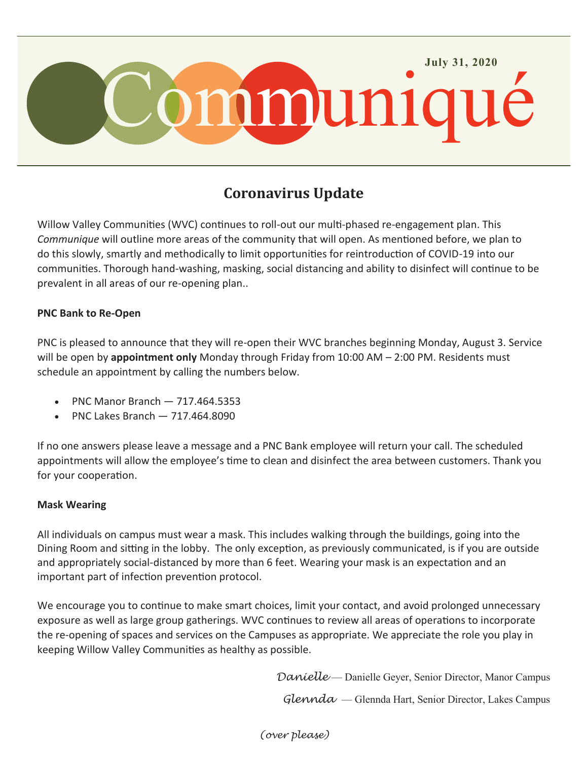

# **Coronavirus Update**

Willow Valley Communities (WVC) continues to roll-out our multi-phased re-engagement plan. This *Communique* will outline more areas of the community that will open. As mentioned before, we plan to do this slowly, smartly and methodically to limit opportunities for reintroduction of COVID-19 into our communities. Thorough hand-washing, masking, social distancing and ability to disinfect will continue to be prevalent in all areas of our re-opening plan..

#### **PNC Bank to Re-Open**

PNC is pleased to announce that they will re-open their WVC branches beginning Monday, August 3. Service will be open by **appointment only** Monday through Friday from 10:00 AM – 2:00 PM. Residents must schedule an appointment by calling the numbers below.

- PNC Manor Branch 717.464.5353
- PNC Lakes Branch 717.464.8090

If no one answers please leave a message and a PNC Bank employee will return your call. The scheduled appointments will allow the employee's time to clean and disinfect the area between customers. Thank you for your cooperation.

#### **Mask Wearing**

All individuals on campus must wear a mask. This includes walking through the buildings, going into the Dining Room and sitting in the lobby. The only exception, as previously communicated, is if you are outside and appropriately social-distanced by more than 6 feet. Wearing your mask is an expectation and an important part of infection prevention protocol.

We encourage you to continue to make smart choices, limit your contact, and avoid prolonged unnecessary exposure as well as large group gatherings. WVC continues to review all areas of operations to incorporate the re-opening of spaces and services on the Campuses as appropriate. We appreciate the role you play in keeping Willow Valley Communities as healthy as possible.

*Danielle* — Danielle Geyer, Senior Director, Manor Campus

*Glennda* — Glennda Hart, Senior Director, Lakes Campus

*(over please)*